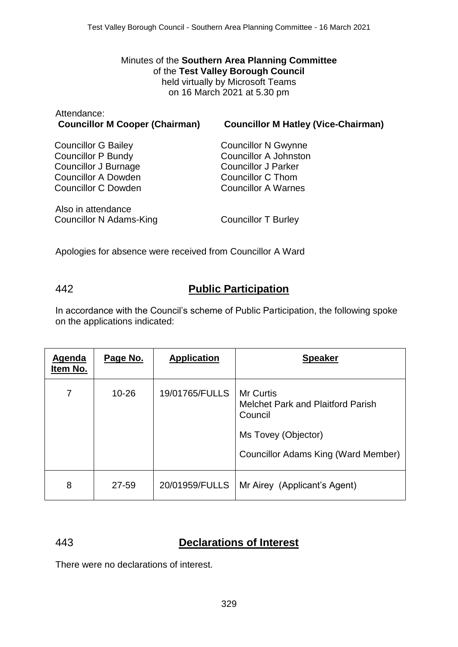### Minutes of the **Southern Area Planning Committee** of the **Test Valley Borough Council** held virtually by Microsoft Teams on 16 March 2021 at 5.30 pm

| <b>Councillor M Cooper (Chairman)</b> | <b>Councillor M Hatley (Vice-Chairman)</b> |
|---------------------------------------|--------------------------------------------|
| <b>Councillor G Bailey</b>            | <b>Councillor N Gwynne</b>                 |
| <b>Councillor P Bundy</b>             | <b>Councillor A Johnston</b>               |
| Councillor J Burnage                  | <b>Councillor J Parker</b>                 |
| <b>Councillor A Dowden</b>            | Councillor C Thom                          |
| <b>Councillor C Dowden</b>            | <b>Councillor A Warnes</b>                 |
|                                       |                                            |

Also in attendance Councillor N Adams-King Councillor T Burley

Attendance:

Apologies for absence were received from Councillor A Ward

# 442 **Public Participation**

In accordance with the Council's scheme of Public Participation, the following spoke on the applications indicated:

| Agenda<br>Item No. | Page No.  | <b>Application</b> | <b>Speaker</b>                                                                                                                        |
|--------------------|-----------|--------------------|---------------------------------------------------------------------------------------------------------------------------------------|
| 7                  | $10 - 26$ | 19/01765/FULLS     | <b>Mr Curtis</b><br><b>Melchet Park and Plaitford Parish</b><br>Council<br>Ms Tovey (Objector)<br>Councillor Adams King (Ward Member) |
| 8                  | 27-59     | 20/01959/FULLS     | Mr Airey (Applicant's Agent)                                                                                                          |

## 443 **Declarations of Interest**

There were no declarations of interest.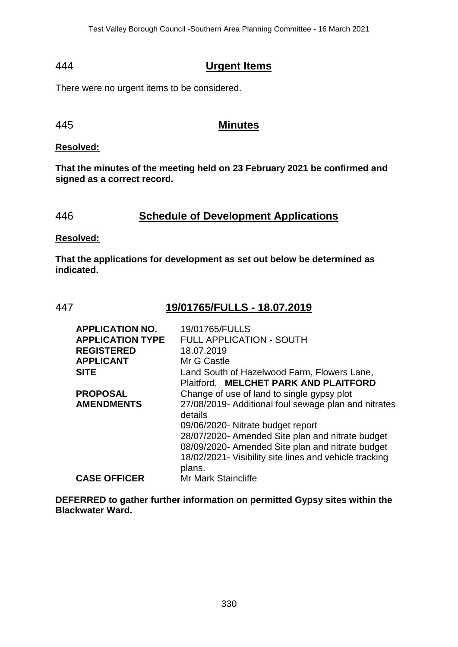## 444 **Urgent Items**

There were no urgent items to be considered.

445 **Minutes**

#### **Resolved:**

**That the minutes of the meeting held on 23 February 2021 be confirmed and signed as a correct record.**

## 446 **Schedule of Development Applications**

#### **Resolved:**

**That the applications for development as set out below be determined as indicated.**

### 447 **19/01765/FULLS - 18.07.2019**

| <b>APPLICATION NO.</b>  | 19/01765/FULLS                                          |
|-------------------------|---------------------------------------------------------|
| <b>APPLICATION TYPE</b> | <b>FULL APPLICATION - SOUTH</b>                         |
| <b>REGISTERED</b>       | 18.07.2019                                              |
| <b>APPLICANT</b>        | Mr G Castle                                             |
| <b>SITE</b>             | Land South of Hazelwood Farm, Flowers Lane,             |
|                         | Plaitford, MELCHET PARK AND PLAITFORD                   |
| <b>PROPOSAL</b>         | Change of use of land to single gypsy plot              |
| <b>AMENDMENTS</b>       | 27/08/2019- Additional foul sewage plan and nitrates    |
|                         | details                                                 |
|                         | 09/06/2020- Nitrate budget report                       |
|                         | 28/07/2020- Amended Site plan and nitrate budget        |
|                         | 08/09/2020- Amended Site plan and nitrate budget        |
|                         | 18/02/2021 - Visibility site lines and vehicle tracking |
|                         | plans.                                                  |
| <b>CASE OFFICER</b>     | Mr Mark Staincliffe                                     |

**DEFERRED to gather further information on permitted Gypsy sites within the Blackwater Ward.**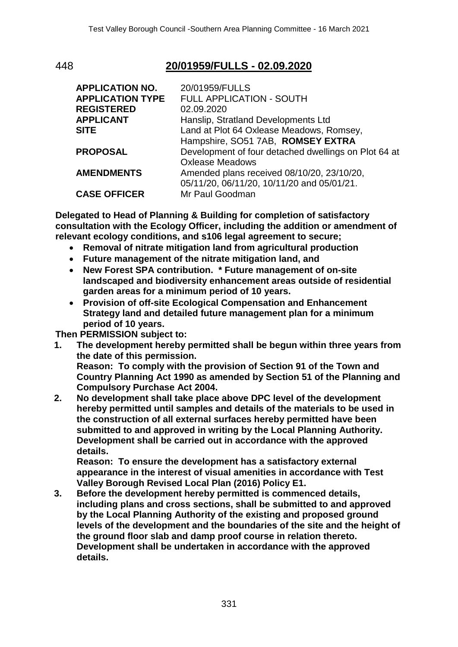## 448 **20/01959/FULLS - 02.09.2020**

| <b>APPLICATION NO.</b>  | 20/01959/FULLS                                       |
|-------------------------|------------------------------------------------------|
| <b>APPLICATION TYPE</b> | <b>FULL APPLICATION - SOUTH</b>                      |
| <b>REGISTERED</b>       | 02.09.2020                                           |
| <b>APPLICANT</b>        | Hanslip, Stratland Developments Ltd                  |
| <b>SITE</b>             | Land at Plot 64 Oxlease Meadows, Romsey,             |
|                         | Hampshire, SO51 7AB, ROMSEY EXTRA                    |
| <b>PROPOSAL</b>         | Development of four detached dwellings on Plot 64 at |
|                         | <b>Oxlease Meadows</b>                               |
| <b>AMENDMENTS</b>       | Amended plans received 08/10/20, 23/10/20,           |
|                         | 05/11/20, 06/11/20, 10/11/20 and 05/01/21.           |
| <b>CASE OFFICER</b>     | Mr Paul Goodman                                      |

**Delegated to Head of Planning & Building for completion of satisfactory consultation with the Ecology Officer, including the addition or amendment of relevant ecology conditions, and s106 legal agreement to secure;** 

- **Removal of nitrate mitigation land from agricultural production**
- **Future management of the nitrate mitigation land, and**
- **New Forest SPA contribution. \* Future management of on-site landscaped and biodiversity enhancement areas outside of residential garden areas for a minimum period of 10 years.**
- **Provision of off-site Ecological Compensation and Enhancement Strategy land and detailed future management plan for a minimum period of 10 years.**

**Then PERMISSION subject to:**

- **1. The development hereby permitted shall be begun within three years from the date of this permission. Reason: To comply with the provision of Section 91 of the Town and Country Planning Act 1990 as amended by Section 51 of the Planning and Compulsory Purchase Act 2004.**
- **2. No development shall take place above DPC level of the development hereby permitted until samples and details of the materials to be used in the construction of all external surfaces hereby permitted have been submitted to and approved in writing by the Local Planning Authority. Development shall be carried out in accordance with the approved details.**

**Reason: To ensure the development has a satisfactory external appearance in the interest of visual amenities in accordance with Test Valley Borough Revised Local Plan (2016) Policy E1.**

**3. Before the development hereby permitted is commenced details, including plans and cross sections, shall be submitted to and approved by the Local Planning Authority of the existing and proposed ground levels of the development and the boundaries of the site and the height of the ground floor slab and damp proof course in relation thereto. Development shall be undertaken in accordance with the approved details.**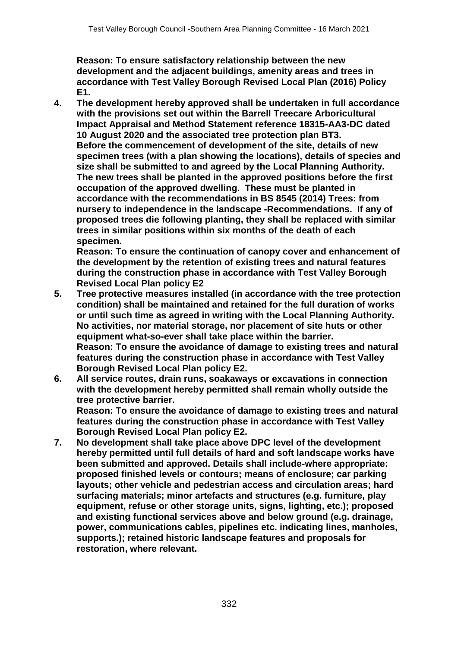**Reason: To ensure satisfactory relationship between the new development and the adjacent buildings, amenity areas and trees in accordance with Test Valley Borough Revised Local Plan (2016) Policy E1.**

**4. The development hereby approved shall be undertaken in full accordance with the provisions set out within the Barrell Treecare Arboricultural Impact Appraisal and Method Statement reference 18315-AA3-DC dated 10 August 2020 and the associated tree protection plan BT3. Before the commencement of development of the site, details of new specimen trees (with a plan showing the locations), details of species and size shall be submitted to and agreed by the Local Planning Authority. The new trees shall be planted in the approved positions before the first occupation of the approved dwelling. These must be planted in accordance with the recommendations in BS 8545 (2014) Trees: from nursery to independence in the landscape -Recommendations. If any of proposed trees die following planting, they shall be replaced with similar trees in similar positions within six months of the death of each specimen.**

**Reason: To ensure the continuation of canopy cover and enhancement of the development by the retention of existing trees and natural features during the construction phase in accordance with Test Valley Borough Revised Local Plan policy E2**

- **5. Tree protective measures installed (in accordance with the tree protection condition) shall be maintained and retained for the full duration of works or until such time as agreed in writing with the Local Planning Authority. No activities, nor material storage, nor placement of site huts or other equipment what-so-ever shall take place within the barrier. Reason: To ensure the avoidance of damage to existing trees and natural features during the construction phase in accordance with Test Valley Borough Revised Local Plan policy E2.**
- **6. All service routes, drain runs, soakaways or excavations in connection with the development hereby permitted shall remain wholly outside the tree protective barrier.**

**Reason: To ensure the avoidance of damage to existing trees and natural features during the construction phase in accordance with Test Valley Borough Revised Local Plan policy E2.**

**7. No development shall take place above DPC level of the development hereby permitted until full details of hard and soft landscape works have been submitted and approved. Details shall include-where appropriate: proposed finished levels or contours; means of enclosure; car parking layouts; other vehicle and pedestrian access and circulation areas; hard surfacing materials; minor artefacts and structures (e.g. furniture, play equipment, refuse or other storage units, signs, lighting, etc.); proposed and existing functional services above and below ground (e.g. drainage, power, communications cables, pipelines etc. indicating lines, manholes, supports.); retained historic landscape features and proposals for restoration, where relevant.**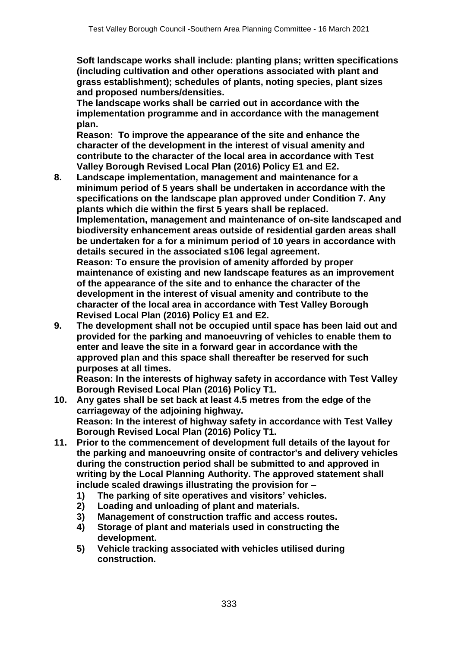**Soft landscape works shall include: planting plans; written specifications (including cultivation and other operations associated with plant and grass establishment); schedules of plants, noting species, plant sizes and proposed numbers/densities.**

**The landscape works shall be carried out in accordance with the implementation programme and in accordance with the management plan.**

**Reason: To improve the appearance of the site and enhance the character of the development in the interest of visual amenity and contribute to the character of the local area in accordance with Test Valley Borough Revised Local Plan (2016) Policy E1 and E2.**

- **8. Landscape implementation, management and maintenance for a minimum period of 5 years shall be undertaken in accordance with the specifications on the landscape plan approved under Condition 7. Any plants which die within the first 5 years shall be replaced. Implementation, management and maintenance of on-site landscaped and biodiversity enhancement areas outside of residential garden areas shall be undertaken for a for a minimum period of 10 years in accordance with details secured in the associated s106 legal agreement. Reason: To ensure the provision of amenity afforded by proper maintenance of existing and new landscape features as an improvement of the appearance of the site and to enhance the character of the development in the interest of visual amenity and contribute to the character of the local area in accordance with Test Valley Borough Revised Local Plan (2016) Policy E1 and E2.**
- **9. The development shall not be occupied until space has been laid out and provided for the parking and manoeuvring of vehicles to enable them to enter and leave the site in a forward gear in accordance with the approved plan and this space shall thereafter be reserved for such purposes at all times.**

**Reason: In the interests of highway safety in accordance with Test Valley Borough Revised Local Plan (2016) Policy T1.**

- **10. Any gates shall be set back at least 4.5 metres from the edge of the carriageway of the adjoining highway. Reason: In the interest of highway safety in accordance with Test Valley Borough Revised Local Plan (2016) Policy T1.**
- **11. Prior to the commencement of development full details of the layout for the parking and manoeuvring onsite of contractor's and delivery vehicles during the construction period shall be submitted to and approved in writing by the Local Planning Authority. The approved statement shall include scaled drawings illustrating the provision for –**
	- **1) The parking of site operatives and visitors' vehicles.**
	- **2) Loading and unloading of plant and materials.**
	- **3) Management of construction traffic and access routes.**
	- **4) Storage of plant and materials used in constructing the development.**
	- **5) Vehicle tracking associated with vehicles utilised during construction.**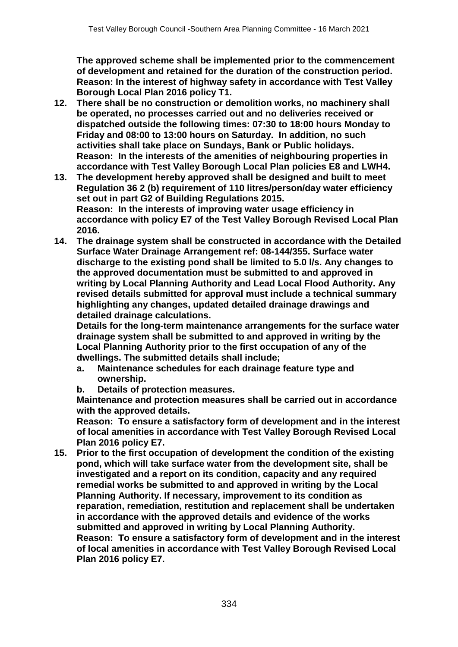**The approved scheme shall be implemented prior to the commencement of development and retained for the duration of the construction period. Reason: In the interest of highway safety in accordance with Test Valley Borough Local Plan 2016 policy T1.**

- **12. There shall be no construction or demolition works, no machinery shall be operated, no processes carried out and no deliveries received or dispatched outside the following times: 07:30 to 18:00 hours Monday to Friday and 08:00 to 13:00 hours on Saturday. In addition, no such activities shall take place on Sundays, Bank or Public holidays. Reason: In the interests of the amenities of neighbouring properties in accordance with Test Valley Borough Local Plan policies E8 and LWH4.**
- **13. The development hereby approved shall be designed and built to meet Regulation 36 2 (b) requirement of 110 litres/person/day water efficiency set out in part G2 of Building Regulations 2015. Reason: In the interests of improving water usage efficiency in accordance with policy E7 of the Test Valley Borough Revised Local Plan 2016.**
- **14. The drainage system shall be constructed in accordance with the Detailed Surface Water Drainage Arrangement ref: 08-144/355. Surface water discharge to the existing pond shall be limited to 5.0 l/s. Any changes to the approved documentation must be submitted to and approved in writing by Local Planning Authority and Lead Local Flood Authority. Any revised details submitted for approval must include a technical summary highlighting any changes, updated detailed drainage drawings and detailed drainage calculations.**

**Details for the long-term maintenance arrangements for the surface water drainage system shall be submitted to and approved in writing by the Local Planning Authority prior to the first occupation of any of the dwellings. The submitted details shall include;**

- **a. Maintenance schedules for each drainage feature type and ownership.**
- **b. Details of protection measures.**

**Maintenance and protection measures shall be carried out in accordance with the approved details.** 

**Reason: To ensure a satisfactory form of development and in the interest of local amenities in accordance with Test Valley Borough Revised Local Plan 2016 policy E7.**

**15. Prior to the first occupation of development the condition of the existing pond, which will take surface water from the development site, shall be investigated and a report on its condition, capacity and any required remedial works be submitted to and approved in writing by the Local Planning Authority. If necessary, improvement to its condition as reparation, remediation, restitution and replacement shall be undertaken in accordance with the approved details and evidence of the works submitted and approved in writing by Local Planning Authority. Reason: To ensure a satisfactory form of development and in the interest of local amenities in accordance with Test Valley Borough Revised Local Plan 2016 policy E7.**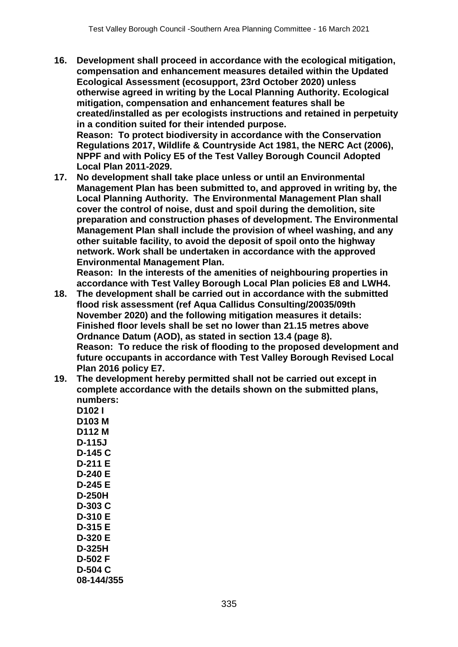- **16. Development shall proceed in accordance with the ecological mitigation, compensation and enhancement measures detailed within the Updated Ecological Assessment (ecosupport, 23rd October 2020) unless otherwise agreed in writing by the Local Planning Authority. Ecological mitigation, compensation and enhancement features shall be created/installed as per ecologists instructions and retained in perpetuity in a condition suited for their intended purpose. Reason: To protect biodiversity in accordance with the Conservation Regulations 2017, Wildlife & Countryside Act 1981, the NERC Act (2006), NPPF and with Policy E5 of the Test Valley Borough Council Adopted Local Plan 2011-2029.**
- **17. No development shall take place unless or until an Environmental Management Plan has been submitted to, and approved in writing by, the Local Planning Authority. The Environmental Management Plan shall cover the control of noise, dust and spoil during the demolition, site preparation and construction phases of development. The Environmental Management Plan shall include the provision of wheel washing, and any other suitable facility, to avoid the deposit of spoil onto the highway network. Work shall be undertaken in accordance with the approved Environmental Management Plan.**

**Reason: In the interests of the amenities of neighbouring properties in accordance with Test Valley Borough Local Plan policies E8 and LWH4.** 

- **18. The development shall be carried out in accordance with the submitted flood risk assessment (ref Aqua Callidus Consulting/20035/09th November 2020) and the following mitigation measures it details: Finished floor levels shall be set no lower than 21.15 metres above Ordnance Datum (AOD), as stated in section 13.4 (page 8). Reason: To reduce the risk of flooding to the proposed development and future occupants in accordance with Test Valley Borough Revised Local Plan 2016 policy E7.**
- **19. The development hereby permitted shall not be carried out except in complete accordance with the details shown on the submitted plans, numbers:**

**D102 I D103 M D112 M D-115J D-145 C D-211 E D-240 E D-245 E D-250H D-303 C D-310 E D-315 E D-320 E D-325H D-502 F D-504 C 08-144/355**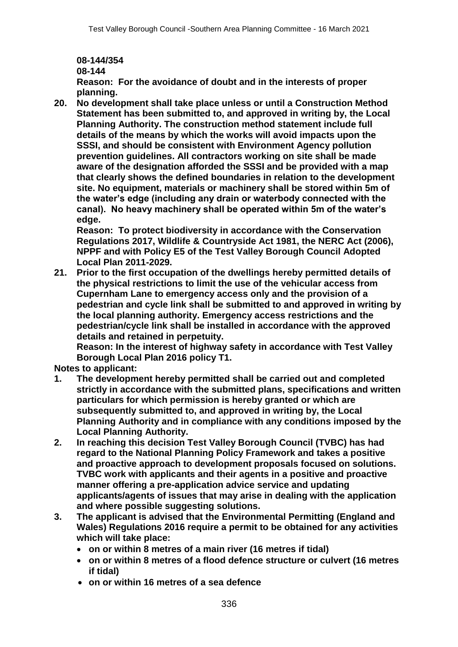**08-144/354 08-144**

**Reason: For the avoidance of doubt and in the interests of proper planning.**

**20. No development shall take place unless or until a Construction Method Statement has been submitted to, and approved in writing by, the Local Planning Authority. The construction method statement include full details of the means by which the works will avoid impacts upon the SSSI, and should be consistent with Environment Agency pollution prevention guidelines. All contractors working on site shall be made aware of the designation afforded the SSSI and be provided with a map that clearly shows the defined boundaries in relation to the development site. No equipment, materials or machinery shall be stored within 5m of the water's edge (including any drain or waterbody connected with the canal). No heavy machinery shall be operated within 5m of the water's edge.**

**Reason: To protect biodiversity in accordance with the Conservation Regulations 2017, Wildlife & Countryside Act 1981, the NERC Act (2006), NPPF and with Policy E5 of the Test Valley Borough Council Adopted Local Plan 2011-2029.**

**21. Prior to the first occupation of the dwellings hereby permitted details of the physical restrictions to limit the use of the vehicular access from Cupernham Lane to emergency access only and the provision of a pedestrian and cycle link shall be submitted to and approved in writing by the local planning authority. Emergency access restrictions and the pedestrian/cycle link shall be installed in accordance with the approved details and retained in perpetuity.**

**Reason: In the interest of highway safety in accordance with Test Valley Borough Local Plan 2016 policy T1.** 

**Notes to applicant:** 

- **1. The development hereby permitted shall be carried out and completed strictly in accordance with the submitted plans, specifications and written particulars for which permission is hereby granted or which are subsequently submitted to, and approved in writing by, the Local Planning Authority and in compliance with any conditions imposed by the Local Planning Authority.**
- **2. In reaching this decision Test Valley Borough Council (TVBC) has had regard to the National Planning Policy Framework and takes a positive and proactive approach to development proposals focused on solutions. TVBC work with applicants and their agents in a positive and proactive manner offering a pre-application advice service and updating applicants/agents of issues that may arise in dealing with the application and where possible suggesting solutions.**
- **3. The applicant is advised that the Environmental Permitting (England and Wales) Regulations 2016 require a permit to be obtained for any activities which will take place:**
	- **on or within 8 metres of a main river (16 metres if tidal)**
	- **on or within 8 metres of a flood defence structure or culvert (16 metres if tidal)**
	- **on or within 16 metres of a sea defence**